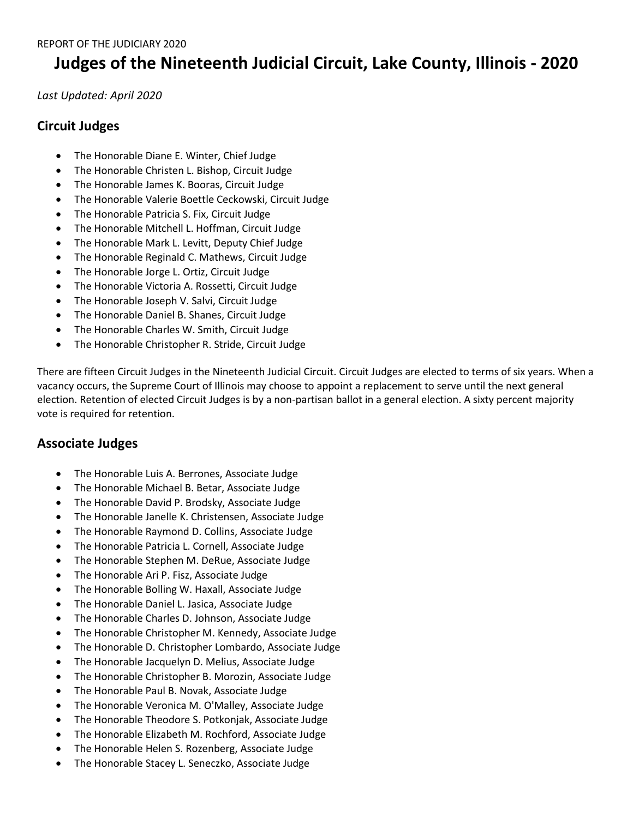## **Judges of the Nineteenth Judicial Circuit, Lake County, Illinois - 2020**

*Last Updated: April 2020*

## **Circuit Judges**

- The Honorable Diane E. Winter, Chief Judge
- The Honorable Christen L. Bishop, Circuit Judge
- The Honorable James K. Booras, Circuit Judge
- The Honorable Valerie Boettle Ceckowski, Circuit Judge
- The Honorable Patricia S. Fix, Circuit Judge
- The Honorable Mitchell L. Hoffman, Circuit Judge
- The Honorable Mark L. Levitt, Deputy Chief Judge
- The Honorable Reginald C. Mathews, Circuit Judge
- The Honorable Jorge L. Ortiz, Circuit Judge
- The Honorable Victoria A. Rossetti, Circuit Judge
- The Honorable Joseph V. Salvi, Circuit Judge
- The Honorable Daniel B. Shanes, Circuit Judge
- The Honorable Charles W. Smith, Circuit Judge
- The Honorable Christopher R. Stride, Circuit Judge

There are fifteen Circuit Judges in the Nineteenth Judicial Circuit. Circuit Judges are elected to terms of six years. When a vacancy occurs, the Supreme Court of Illinois may choose to appoint a replacement to serve until the next general election. Retention of elected Circuit Judges is by a non-partisan ballot in a general election. A sixty percent majority vote is required for retention.

## **Associate Judges**

- The Honorable Luis A. Berrones, Associate Judge
- The Honorable Michael B. Betar, Associate Judge
- The Honorable David P. Brodsky, Associate Judge
- The Honorable Janelle K. Christensen, Associate Judge
- The Honorable Raymond D. Collins, Associate Judge
- The Honorable Patricia L. Cornell, Associate Judge
- The Honorable Stephen M. DeRue, Associate Judge
- The Honorable Ari P. Fisz, Associate Judge
- The Honorable Bolling W. Haxall, Associate Judge
- The Honorable Daniel L. Jasica, Associate Judge
- The Honorable Charles D. Johnson, Associate Judge
- The Honorable Christopher M. Kennedy, Associate Judge
- The Honorable D. Christopher Lombardo, Associate Judge
- The Honorable Jacquelyn D. Melius, Associate Judge
- The Honorable Christopher B. Morozin, Associate Judge
- The Honorable Paul B. Novak, Associate Judge
- The Honorable Veronica M. O'Malley, Associate Judge
- The Honorable Theodore S. Potkonjak, Associate Judge
- The Honorable Elizabeth M. Rochford, Associate Judge
- The Honorable Helen S. Rozenberg, Associate Judge
- The Honorable Stacey L. Seneczko, Associate Judge